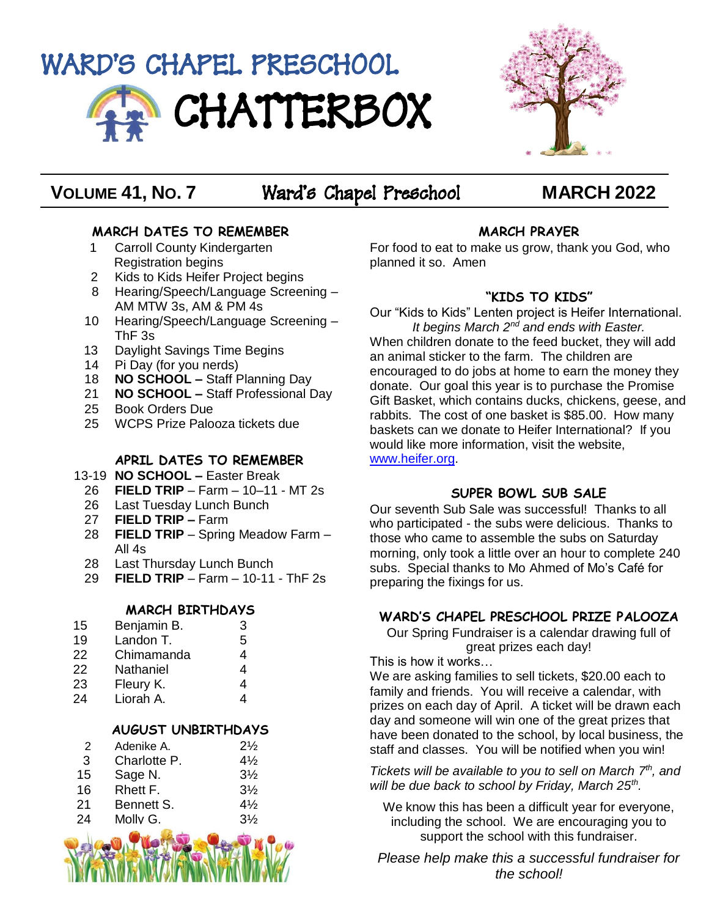



# **VOLUME 41, NO. 7** Ward's Chapel Preschool **MARCH 2022**

# **MARCH DATES TO REMEMBER**

- 1 Carroll County Kindergarten Registration begins
- 2 Kids to Kids Heifer Project begins
- 8 Hearing/Speech/Language Screening AM MTW 3s, AM & PM 4s
- 10 Hearing/Speech/Language Screening ThF 3s
- 13 Daylight Savings Time Begins
- 14 Pi Day (for you nerds)
- 18 **NO SCHOOL –** Staff Planning Day
- 21 **NO SCHOOL –** Staff Professional Day
- 25 Book Orders Due
- 25 WCPS Prize Palooza tickets due

# **APRIL DATES TO REMEMBER**

- 13-19 **NO SCHOOL –** Easter Break
- 26 **FIELD TRIP**  Farm 10–11 MT 2s
- 26 Last Tuesday Lunch Bunch<br>27 **FIELD TRIP -** Farm
- 27 **FIELD TRIP –** Farm
- **FIELD TRIP** Spring Meadow Farm All 4s
- 28 Last Thursday Lunch Bunch
- 29 **FIELD TRIP**  Farm 10-11 ThF 2s

## **MARCH BIRTHDAYS**

- 15 Benjamin B. 3 19 Landon T. 5 22 Chimamanda 4<br>22 Nathaniel 4
- 22 Nathaniel 4
- 23 Fleury K. 4
- 24 Liorah A. 4

# **AUGUST UNBIRTHDAYS**

- 2 Adenike A. 21/<sub>2</sub> 3 Charlotte P. 4½
- 15 Sage N. 3½
- 16 Rhett F. 3½
- 21 Bennett S. 41/<sub>2</sub>
- 24 Molly G. 3½



# **MARCH PRAYER**

For food to eat to make us grow, thank you God, who planned it so. Amen

# **"KIDS TO KIDS"**

Our "Kids to Kids" Lenten project is Heifer International. *It begins March 2nd and ends with Easter.* When children donate to the feed bucket, they will add an animal sticker to the farm. The children are encouraged to do jobs at home to earn the money they donate. Our goal this year is to purchase the Promise Gift Basket, which contains ducks, chickens, geese, and rabbits. The cost of one basket is \$85.00. How many baskets can we donate to Heifer International? If you would like more information, visit the website, [www.heifer.org.](http://www.heifer.org/)

# **SUPER BOWL SUB SALE**

Our seventh Sub Sale was successful! Thanks to all who participated - the subs were delicious. Thanks to those who came to assemble the subs on Saturday morning, only took a little over an hour to complete 240 subs. Special thanks to Mo Ahmed of Mo's Café for preparing the fixings for us.

# **WARD'S CHAPEL PRESCHOOL PRIZE PALOOZA**

Our Spring Fundraiser is a calendar drawing full of great prizes each day!

This is how it works…

We are asking families to sell tickets, \$20.00 each to family and friends. You will receive a calendar, with prizes on each day of April. A ticket will be drawn each day and someone will win one of the great prizes that have been donated to the school, by local business, the staff and classes. You will be notified when you win!

*Tickets will be available to you to sell on March 7<sup>th</sup>, and will be due back to school by Friday, March 25th .*

We know this has been a difficult year for everyone, including the school. We are encouraging you to support the school with this fundraiser.

*Please help make this a successful fundraiser for the school!*